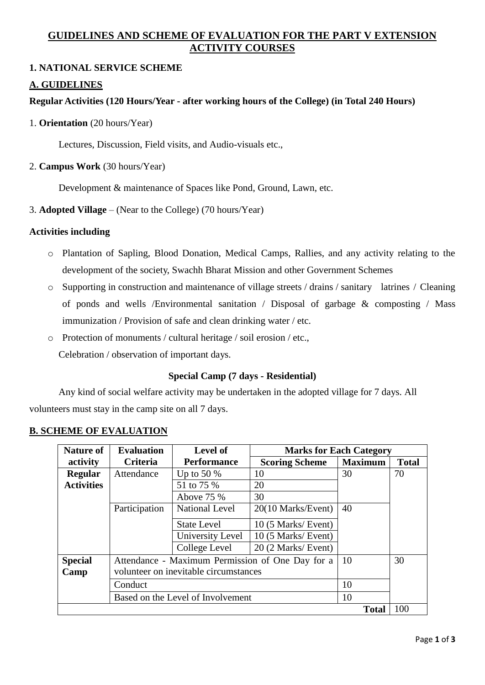# **GUIDELINES AND SCHEME OF EVALUATION FOR THE PART V EXTENSION ACTIVITY COURSES**

## **1. NATIONAL SERVICE SCHEME**

#### **A. GUIDELINES**

## **Regular Activities (120 Hours/Year - after working hours of the College) (in Total 240 Hours)**

1. **Orientation** (20 hours/Year)

Lectures, Discussion, Field visits, and Audio-visuals etc.,

#### 2. **Campus Work** (30 hours/Year)

Development & maintenance of Spaces like Pond, Ground, Lawn, etc.

3. **Adopted Village** – (Near to the College) (70 hours/Year)

#### **Activities including**

- o Plantation of Sapling, Blood Donation, Medical Camps, Rallies, and any activity relating to the development of the society, Swachh Bharat Mission and other Government Schemes
- o Supporting in construction and maintenance of village streets / drains / sanitary latrines / Cleaning of ponds and wells /Environmental sanitation / Disposal of garbage & composting / Mass immunization / Provision of safe and clean drinking water / etc.
- o Protection of monuments / cultural heritage / soil erosion / etc., Celebration / observation of important days.

#### **Special Camp (7 days - Residential)**

Any kind of social welfare activity may be undertaken in the adopted village for 7 days. All volunteers must stay in the camp site on all 7 days.

| <b>Nature of</b>  | <b>Evaluation</b>                                | <b>Level of</b>       | <b>Marks for Each Category</b> |                |              |
|-------------------|--------------------------------------------------|-----------------------|--------------------------------|----------------|--------------|
| activity          | <b>Criteria</b>                                  | <b>Performance</b>    | <b>Scoring Scheme</b>          | <b>Maximum</b> | <b>Total</b> |
| <b>Regular</b>    | Attendance                                       | Up to 50 $%$          | 10                             | 30             | 70           |
| <b>Activities</b> |                                                  | 51 to 75 %            | 20                             |                |              |
|                   |                                                  | Above 75 %            | 30                             |                |              |
|                   | Participation                                    | <b>National Level</b> | $20(10 \text{ Marks/Event})$   | 40             |              |
|                   |                                                  | <b>State Level</b>    | 10 (5 Marks/Event)             |                |              |
|                   |                                                  | University Level      | 10 (5 Marks/Event)             |                |              |
|                   |                                                  | College Level         | 20 (2 Marks/Event)             |                |              |
| <b>Special</b>    | Attendance - Maximum Permission of One Day for a |                       |                                | -10            | 30           |
| Camp              | volunteer on inevitable circumstances            |                       |                                |                |              |
|                   | Conduct                                          |                       |                                | 10             |              |
|                   | Based on the Level of Involvement                | 10                    |                                |                |              |
|                   |                                                  |                       |                                | <b>Total</b>   | 100          |

#### **B. SCHEME OF EVALUATION**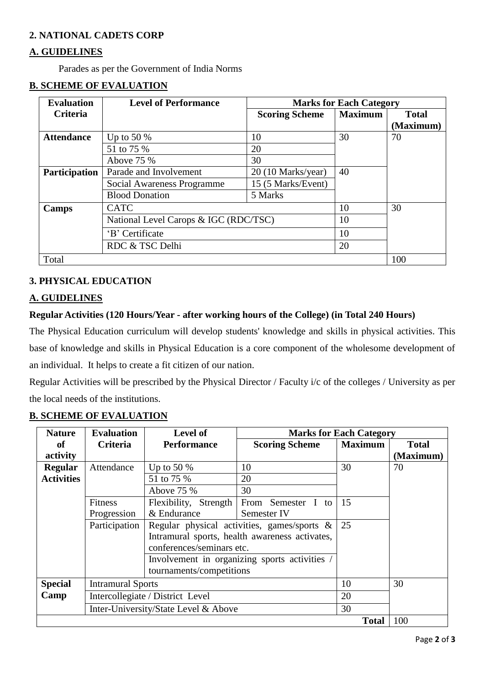# **2. NATIONAL CADETS CORP**

## **A. GUIDELINES**

Parades as per the Government of India Norms

#### **B. SCHEME OF EVALUATION**

| <b>Evaluation</b>    | <b>Level of Performance</b>           | <b>Marks for Each Category</b> |                |              |
|----------------------|---------------------------------------|--------------------------------|----------------|--------------|
| <b>Criteria</b>      |                                       | <b>Scoring Scheme</b>          | <b>Maximum</b> | <b>Total</b> |
|                      |                                       |                                |                | (Maximum)    |
| <b>Attendance</b>    | Up to 50 $%$                          | 10                             | 30             | 70           |
|                      | 51 to 75 %                            | 20                             |                |              |
|                      | Above 75 %                            | 30                             |                |              |
| <b>Participation</b> | Parade and Involvement                | $20(10$ Marks/year)            | 40             |              |
|                      | Social Awareness Programme            | 15 (5 Marks/Event)             |                |              |
|                      | <b>Blood Donation</b>                 | 5 Marks                        |                |              |
| Camps                | <b>CATC</b>                           |                                | 10             | 30           |
|                      | National Level Carops & IGC (RDC/TSC) | 10                             |                |              |
|                      | 'B' Certificate                       |                                |                |              |
|                      | RDC & TSC Delhi                       |                                | 20             |              |
| Total                |                                       |                                |                | 100          |

# **3. PHYSICAL EDUCATION**

## **A. GUIDELINES**

#### **Regular Activities (120 Hours/Year - after working hours of the College) (in Total 240 Hours)**

The Physical Education curriculum will develop students' knowledge and skills in physical activities. This base of knowledge and skills in Physical Education is a core component of the wholesome development of an individual. It helps to create a fit citizen of our nation.

Regular Activities will be prescribed by the Physical Director / Faculty i/c of the colleges / University as per the local needs of the institutions.

#### **Nature of activity Evaluation Criteria Level of Performance Marks for Each Category Scoring Scheme** | **Maximum** | **Total (Maximum) Regular Activities** Attendance Up to 50 % 10 30 70 51 to 75 % 20 Above 75 % 30 Fitness Progression Flexibility, Strength & Endurance From Semester I to Semester IV 15 Participation Regular physical activities, games/sports  $\&$ Intramural sports, health awareness activates, conferences/seminars etc. 25 Involvement in organizing sports activities / tournaments/competitions **Special Camp** Intramural Sports 10 30 Intercollegiate / District Level 20 Inter-University/State Level & Above 30 **Total** 100

# **B. SCHEME OF EVALUATION**